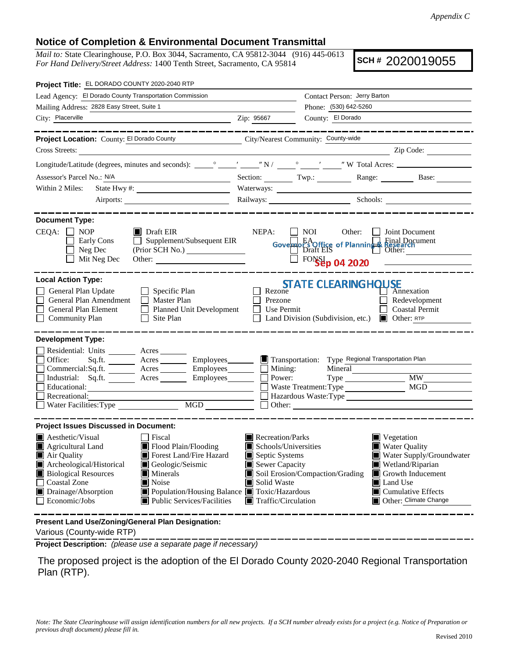## **Notice of Completion & Environmental Document Transmittal**

*Mail to:* State Clearinghouse, P.O. Box 3044, Sacramento, CA 95812-3044 (916) 445-0613 *For Hand Delivery/Street Address:* 1400 Tenth Street, Sacramento, CA 95814

**SCH #** 2020019055

| Project Title: EL DORADO COUNTY 2020-2040 RTP                                                                                                                                                                                                                                                                                                                                       |                                                                                                                                   |                                                                                                  |                                                                                                                                                                           |
|-------------------------------------------------------------------------------------------------------------------------------------------------------------------------------------------------------------------------------------------------------------------------------------------------------------------------------------------------------------------------------------|-----------------------------------------------------------------------------------------------------------------------------------|--------------------------------------------------------------------------------------------------|---------------------------------------------------------------------------------------------------------------------------------------------------------------------------|
| Lead Agency: El Dorado County Transportation Commission                                                                                                                                                                                                                                                                                                                             |                                                                                                                                   | Contact Person: Jerry Barton                                                                     |                                                                                                                                                                           |
| Mailing Address: 2828 Easy Street, Suite 1                                                                                                                                                                                                                                                                                                                                          |                                                                                                                                   | Phone: (530) 642-5260                                                                            |                                                                                                                                                                           |
| City: Placerville<br><u> 1989 - Johann Barn, fransk politik amerikansk politik (d. 1989)</u>                                                                                                                                                                                                                                                                                        | Zip: 95667                                                                                                                        | County: El Dorado                                                                                |                                                                                                                                                                           |
| _________                                                                                                                                                                                                                                                                                                                                                                           |                                                                                                                                   |                                                                                                  |                                                                                                                                                                           |
| Project Location: County: El Dorado County                                                                                                                                                                                                                                                                                                                                          | City/Nearest Community: County-wide                                                                                               |                                                                                                  |                                                                                                                                                                           |
| Cross Streets:<br><u> 1980 - Jan Samuel Barbara, martin di</u>                                                                                                                                                                                                                                                                                                                      |                                                                                                                                   |                                                                                                  | Zip Code:                                                                                                                                                                 |
|                                                                                                                                                                                                                                                                                                                                                                                     |                                                                                                                                   |                                                                                                  |                                                                                                                                                                           |
| Assessor's Parcel No.: N/A                                                                                                                                                                                                                                                                                                                                                          |                                                                                                                                   |                                                                                                  | Section: Twp.: Twp.: Range: Base:                                                                                                                                         |
| Within 2 Miles:                                                                                                                                                                                                                                                                                                                                                                     |                                                                                                                                   |                                                                                                  |                                                                                                                                                                           |
|                                                                                                                                                                                                                                                                                                                                                                                     |                                                                                                                                   |                                                                                                  |                                                                                                                                                                           |
| <b>Document Type:</b>                                                                                                                                                                                                                                                                                                                                                               |                                                                                                                                   |                                                                                                  |                                                                                                                                                                           |
| $CEQA: \Box NP$<br>$\blacksquare$ Draft EIR<br>$\Box$ Supplement/Subsequent EIR<br>Early Cons<br>Neg Dec<br>Mit Neg Dec                                                                                                                                                                                                                                                             | NEPA:                                                                                                                             | $\blacksquare$ NOI<br>Governo Booffice of Planning Rinal Document<br>Draft EIS<br>FONSEp 04 2020 | Other: <b>I</b> Joint Document<br><u> 1990 - John Barbara (</u>                                                                                                           |
| <b>Local Action Type:</b><br>General Plan Update<br>$\Box$ Specific Plan<br>General Plan Amendment<br>$\Box$ Master Plan<br>General Plan Element<br>Planned Unit Development<br><b>Community Plan</b><br>Site Plan<br>$\Box$                                                                                                                                                        | Rezone<br>Prezone<br>Use Permit                                                                                                   | <b>STATE CLEARINGHOUSE</b><br>Land Division (Subdivision, etc.) $\Box$ Other: RTP                | Annexation<br>Redevelopment<br><b>Coastal Permit</b>                                                                                                                      |
| <b>Development Type:</b><br>Residential: Units ________ Acres _______<br>Office:<br>Sq.ft. _________ Acres ___________ Employees________<br>Commercial:Sq.ft. _________ Acres _________ Employees________<br>Industrial: Sq.ft. _______ Acres _______ Employees_______<br>Educational:<br>Recreational:<br>$\underbrace{\hbox{MGD}}$<br>Water Facilities: Type                      | $\blacksquare$ Transportation:<br>Mining:<br>Power:                                                                               | Mineral<br>Waste Treatment: Type                                                                 | Type Regional Transportation Plan<br><b>MW</b><br><b>MGD</b><br>Hazardous Waste: Type                                                                                     |
| <b>Project Issues Discussed in Document:</b>                                                                                                                                                                                                                                                                                                                                        |                                                                                                                                   |                                                                                                  |                                                                                                                                                                           |
| $\blacksquare$ Aesthetic/Visual<br>Fiscal<br>Agricultural Land<br>Flood Plain/Flooding<br>Forest Land/Fire Hazard<br>Air Quality<br>Archeological/Historical<br>Geologic/Seismic<br><b>Biological Resources</b><br>Minerals<br><b>Coastal Zone</b><br>Noise<br>Drainage/Absorption<br>■ Population/Housing Balance ■ Toxic/Hazardous<br>Public Services/Facilities<br>Economic/Jobs | Recreation/Parks<br>Schools/Universities<br>Septic Systems<br>Sewer Capacity<br>Solid Waste<br>$\blacksquare$ Traffic/Circulation | Soil Erosion/Compaction/Grading                                                                  | Vegetation<br><b>Water Quality</b><br>Water Supply/Groundwater<br>Wetland/Riparian<br>Growth Inducement<br>Land Use<br>$\Box$ Cumulative Effects<br>Other: Climate Change |
| Present Land Use/Zoning/General Plan Designation:                                                                                                                                                                                                                                                                                                                                   |                                                                                                                                   |                                                                                                  |                                                                                                                                                                           |

Various (County-wide RTP)

**Project Description:** *(please use a separate page if necessary)*

 The proposed project is the adoption of the El Dorado County 2020-2040 Regional Transportation Plan (RTP).